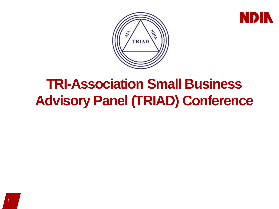



# **TRI-Association Small Business Advisory Panel (TRIAD) Conference**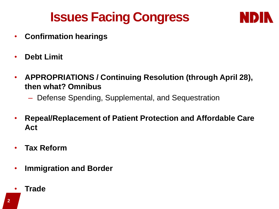# **Issues Facing Congress**



- **Confirmation hearings**
- **Debt Limit**
- **APPROPRIATIONS / Continuing Resolution (through April 28), then what? Omnibus**
	- Defense Spending, Supplemental, and Sequestration
- **Repeal/Replacement of Patient Protection and Affordable Care Act**
- **Tax Reform**
- **Immigration and Border**
- **Trade**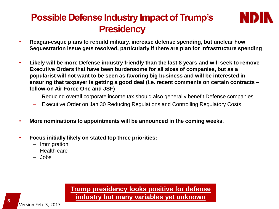### **Possible Defense Industry Impact of Trump's Presidency**



- **Reagan-esque plans to rebuild military, increase defense spending, but unclear how Sequestration issue gets resolved, particularly if there are plan for infrastructure spending**
- **Likely will be more Defense industry friendly than the last 8 years and will seek to remove Executive Orders that have been burdensome for all sizes of companies, but as a popularist will not want to be seen as favoring big business and will be interested in ensuring that taxpayer is getting a good deal (i.e. recent comments on certain contracts – follow-on Air Force One and JSF)**
	- Reducing overall corporate income tax should also generally benefit Defense companies
	- Executive Order on Jan 30 Reducing Regulations and Controlling Regulatory Costs
- **More nominations to appointments will be announced in the coming weeks.**
- **Focus initially likely on stated top three priorities:** 
	- Immigration
	- Health care
	- Jobs

#### **Trump presidency looks positive for defense industry but many variables yet unknown**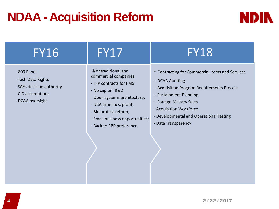## **NDAA - Acquisition Reform**



| -Nontraditional and<br>commercial companies;<br>- FFP contracts for FMS<br>- No cap on IR&D<br>- Open systems architecture;<br>- UCA timelines/profit;<br>- Bid protest reform;<br>- Small business opportunities;<br>- Back to PBP preference | - Contracting for Commercial Items and Services<br>- DCAA Auditing<br>- Acquisition Program Requirements Process<br>- Sustainment Planning<br>- Foreign Military Sales<br>- Acquisition Workforce<br>- Developmental and Operational Testing<br>- Data Transparency |
|------------------------------------------------------------------------------------------------------------------------------------------------------------------------------------------------------------------------------------------------|---------------------------------------------------------------------------------------------------------------------------------------------------------------------------------------------------------------------------------------------------------------------|
|                                                                                                                                                                                                                                                |                                                                                                                                                                                                                                                                     |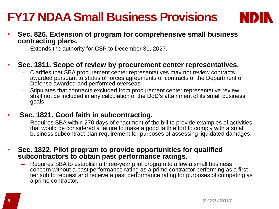## **FY17 NDAA Small Business Provisions**



- **Sec. 826. Extension of program for comprehensive small business contracting plans.**
	- Extends the authority for CSP to December 31, 2027.
- **Sec. 1811. Scope of review by procurement center representatives.**
	- Clarifies that SBA procurement center representatives may not review contracts awarded pursuant to status of forces agreements or contracts of the Department of Defense awarded and performed overseas.
	- Stipulates that contracts excluded from procurement center representative review shall not be included in any calculation of the DoD's attainment of its small business goals.

#### • **Sec. 1821. Good faith in subcontracting.**

- Requires SBA within 270 days of enactment of the bill to provide examples of activities that would be considered a failure to make a good faith effort to comply with a small business subcontract plan requirement for purposes of assessing liquidated damages.
- **Sec. 1822. Pilot program to provide opportunities for qualified subcontractors to obtain past performance ratings.** 
	- Requires SBA to establish a three-year pilot program to allow a small business concern without a past performance rating as a prime contractor performing as a first tier sub to request and receive a past performance rating for purposes of competing as a prime contractor.